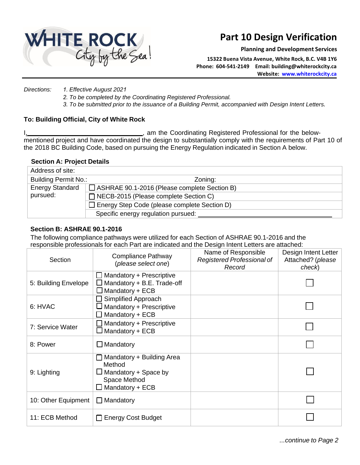

# **Part 10 Design Verification**

**Planning and Development Services**

**15322 Buena Vista Avenue, White Rock, B.C. V4B 1Y6 Phone: 604-541-2149 Email: building@whiterockcity.ca Website: [www.whiterockcity.ca](http://www.whiterockcity.ca/)**

*Directions: 1. Effective August 2021*

*2. To be completed by the Coordinating Registered Professional.*

*3. To be submitted prior to the issuance of a Building Permit, accompanied with Design Intent Letters.*

### **To: Building Official, City of White Rock**

., am the Coordinating Registered Professional for the belowmentioned project and have coordinated the design to substantially comply with the requirements of Part 10 of the 2018 BC Building Code, based on pursuing the Energy Regulation indicated in Section A below.

### **Section A: Project Details**

| Address of site:            |                                                     |
|-----------------------------|-----------------------------------------------------|
| <b>Building Permit No.:</b> | Zoning:                                             |
| <b>Energy Standard</b>      | $\Box$ ASHRAE 90.1-2016 (Please complete Section B) |
| pursued:                    | $\Box$ NECB-2015 (Please complete Section C)        |
|                             | $\Box$ Energy Step Code (please complete Section D) |
|                             | Specific energy regulation pursued:                 |

## **Section B: ASHRAE 90.1-2016**

The following compliance pathways were utilized for each Section of ASHRAE 90.1-2016 and the responsible professionals for each Part are indicated and the Design Intent Letters are attached:

| Section              | Compliance Pathway<br>(please select one)                                                             | Name of Responsible<br>Registered Professional of<br>Record | Design Intent Letter<br>Attached? (please<br>check) |
|----------------------|-------------------------------------------------------------------------------------------------------|-------------------------------------------------------------|-----------------------------------------------------|
| 5: Building Envelope | $\Box$ Mandatory + Prescriptive<br>Mandatory + B.E. Trade-off<br>$\Box$ Mandatory + ECB               |                                                             |                                                     |
| 6: HVAC              | $\Box$ Simplified Approach<br>Mandatory + Prescriptive<br>$\Box$ Mandatory + ECB                      |                                                             |                                                     |
| 7: Service Water     | Mandatory + Prescriptive<br>$\Box$ Mandatory + ECB                                                    |                                                             |                                                     |
| 8: Power             | $\Box$ Mandatory                                                                                      |                                                             |                                                     |
| 9: Lighting          | Mandatory + Building Area<br>Method<br>Mandatory + Space by<br>Space Method<br>$\Box$ Mandatory + ECB |                                                             |                                                     |
| 10: Other Equipment  | Mandatory<br>$\perp$                                                                                  |                                                             |                                                     |
| 11: ECB Method       | <b>Energy Cost Budget</b><br>$\Box$                                                                   |                                                             |                                                     |